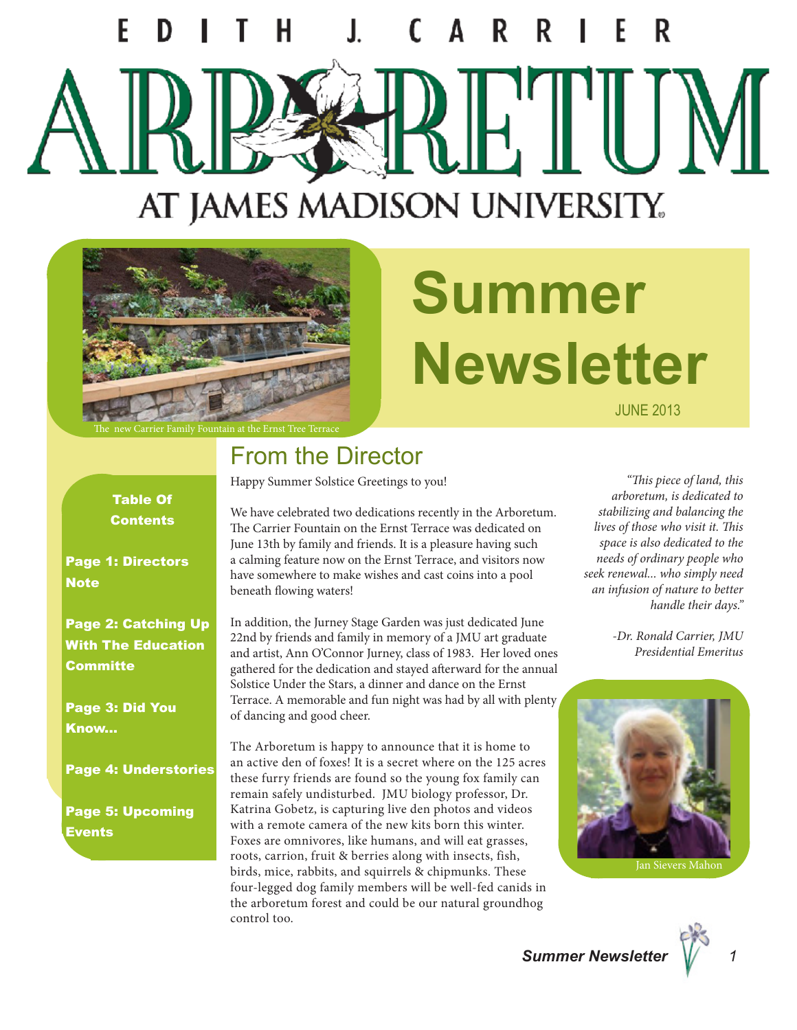# F AT JAMES MADISON UNIVERSITY.



# **Summer Newsletter**

JUNE 2013

Table Of **Contents** 

Page 1: Directors **Note** 

Page 2: Catching Up With The Education **Committe** 

Page 3: Did You Know...

Page 4: Understories

Page 5: Upcoming Events

#### From the Director

Happy Summer Solstice Greetings to you!

We have celebrated two dedications recently in the Arboretum. The Carrier Fountain on the Ernst Terrace was dedicated on June 13th by family and friends. It is a pleasure having such a calming feature now on the Ernst Terrace, and visitors now have somewhere to make wishes and cast coins into a pool beneath flowing waters!

In addition, the Jurney Stage Garden was just dedicated June 22nd by friends and family in memory of a JMU art graduate and artist, Ann O'Connor Jurney, class of 1983. Her loved ones gathered for the dedication and stayed afterward for the annual Solstice Under the Stars, a dinner and dance on the Ernst Terrace. A memorable and fun night was had by all with plenty of dancing and good cheer.

The Arboretum is happy to announce that it is home to an active den of foxes! It is a secret where on the 125 acres these furry friends are found so the young fox family can remain safely undisturbed. JMU biology professor, Dr. Katrina Gobetz, is capturing live den photos and videos with a remote camera of the new kits born this winter. Foxes are omnivores, like humans, and will eat grasses, roots, carrion, fruit & berries along with insects, fish, birds, mice, rabbits, and squirrels & chipmunks. These four-legged dog family members will be well-fed canids in the arboretum forest and could be our natural groundhog control too.

*"This piece of land, this arboretum, is dedicated to stabilizing and balancing the lives of those who visit it. This space is also dedicated to the needs of ordinary people who seek renewal... who simply need an infusion of nature to better handle their days."*

> *-Dr. Ronald Carrier, JMU Presidential Emeritus*

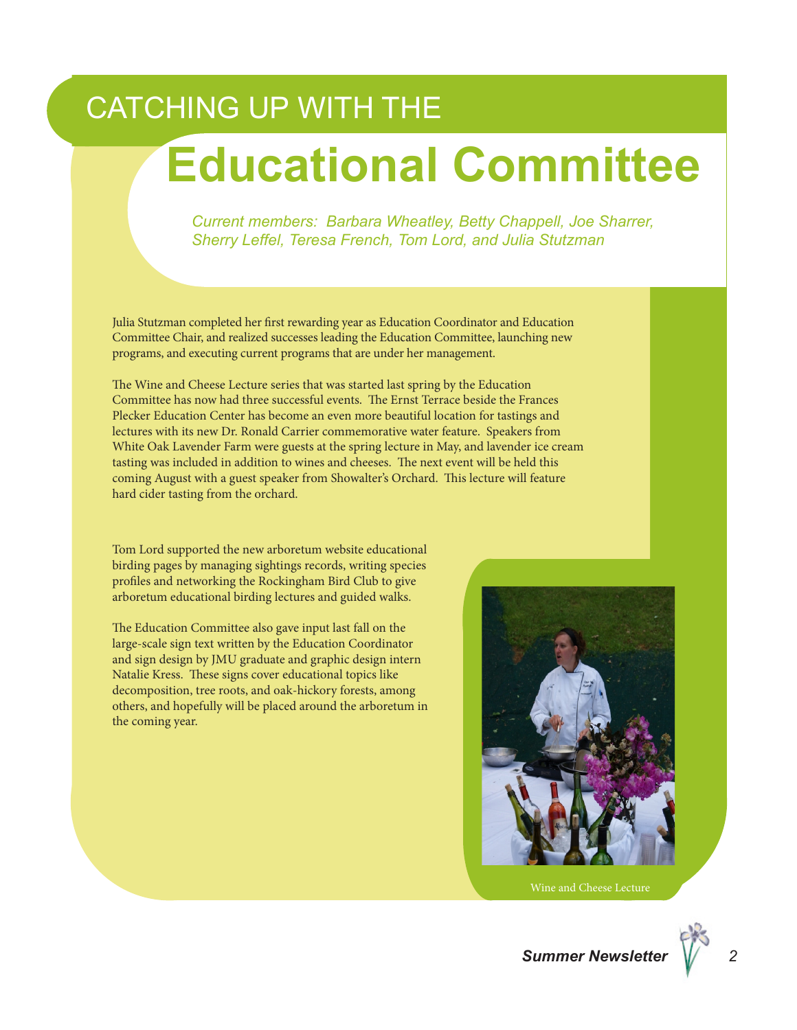### CATCHING UP WITH THE

### **Educational Committee**

*Current members: Barbara Wheatley, Betty Chappell, Joe Sharrer, Sherry Leffel, Teresa French, Tom Lord, and Julia Stutzman*

Julia Stutzman completed her first rewarding year as Education Coordinator and Education Committee Chair, and realized successes leading the Education Committee, launching new programs, and executing current programs that are under her management.

The Wine and Cheese Lecture series that was started last spring by the Education Committee has now had three successful events. The Ernst Terrace beside the Frances Plecker Education Center has become an even more beautiful location for tastings and lectures with its new Dr. Ronald Carrier commemorative water feature. Speakers from White Oak Lavender Farm were guests at the spring lecture in May, and lavender ice cream tasting was included in addition to wines and cheeses. The next event will be held this coming August with a guest speaker from Showalter's Orchard. This lecture will feature hard cider tasting from the orchard.

Tom Lord supported the new arboretum website educational birding pages by managing sightings records, writing species profiles and networking the Rockingham Bird Club to give arboretum educational birding lectures and guided walks.

The Education Committee also gave input last fall on the large-scale sign text written by the Education Coordinator and sign design by JMU graduate and graphic design intern Natalie Kress. These signs cover educational topics like decomposition, tree roots, and oak-hickory forests, among others, and hopefully will be placed around the arboretum in the coming year.

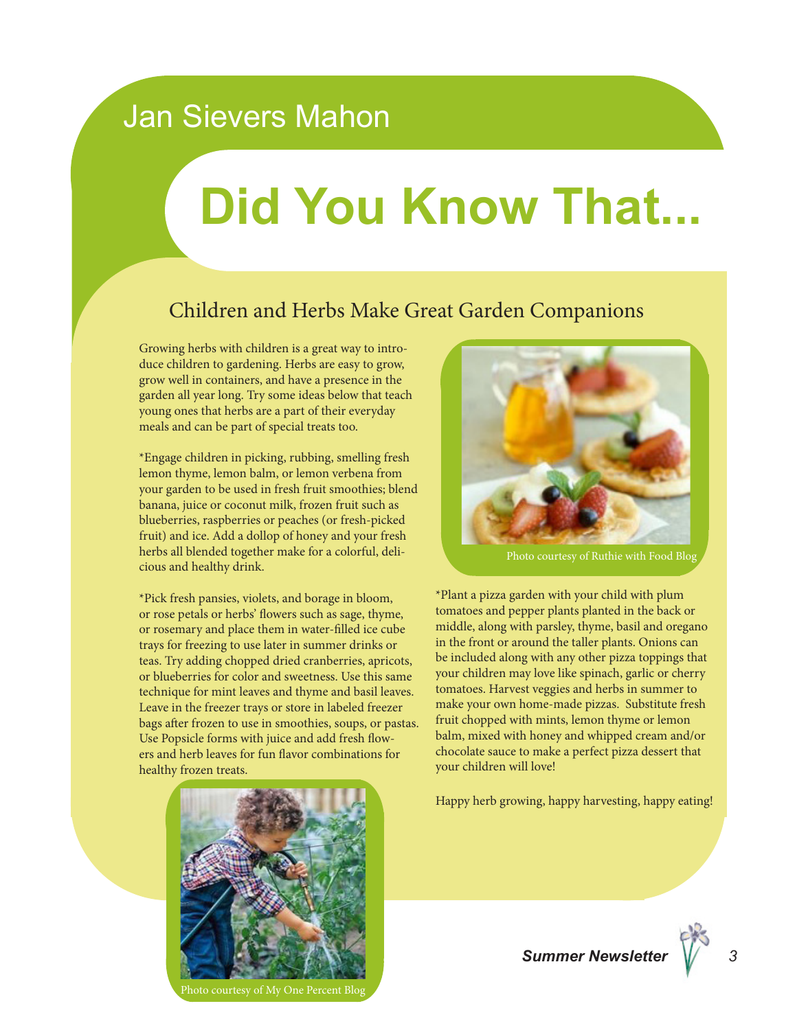#### Jan Sievers Mahon

## **Did You Know That...**

#### Children and Herbs Make Great Garden Companions

Growing herbs with children is a great way to introduce children to gardening. Herbs are easy to grow, grow well in containers, and have a presence in the garden all year long. Try some ideas below that teach young ones that herbs are a part of their everyday meals and can be part of special treats too.

\*Engage children in picking, rubbing, smelling fresh lemon thyme, lemon balm, or lemon verbena from your garden to be used in fresh fruit smoothies; blend banana, juice or coconut milk, frozen fruit such as blueberries, raspberries or peaches (or fresh-picked fruit) and ice. Add a dollop of honey and your fresh herbs all blended together make for a colorful, delicious and healthy drink.

\*Pick fresh pansies, violets, and borage in bloom, or rose petals or herbs' flowers such as sage, thyme, or rosemary and place them in water-filled ice cube trays for freezing to use later in summer drinks or teas. Try adding chopped dried cranberries, apricots, or blueberries for color and sweetness. Use this same technique for mint leaves and thyme and basil leaves. Leave in the freezer trays or store in labeled freezer bags after frozen to use in smoothies, soups, or pastas. Use Popsicle forms with juice and add fresh flowers and herb leaves for fun flavor combinations for healthy frozen treats.



Photo courtesy of My One Percent Blog



Photo courtesy of Ruthie with Food Blog

\*Plant a pizza garden with your child with plum tomatoes and pepper plants planted in the back or middle, along with parsley, thyme, basil and oregano in the front or around the taller plants. Onions can be included along with any other pizza toppings that your children may love like spinach, garlic or cherry tomatoes. Harvest veggies and herbs in summer to make your own home-made pizzas. Substitute fresh fruit chopped with mints, lemon thyme or lemon balm, mixed with honey and whipped cream and/or chocolate sauce to make a perfect pizza dessert that your children will love!

Happy herb growing, happy harvesting, happy eating!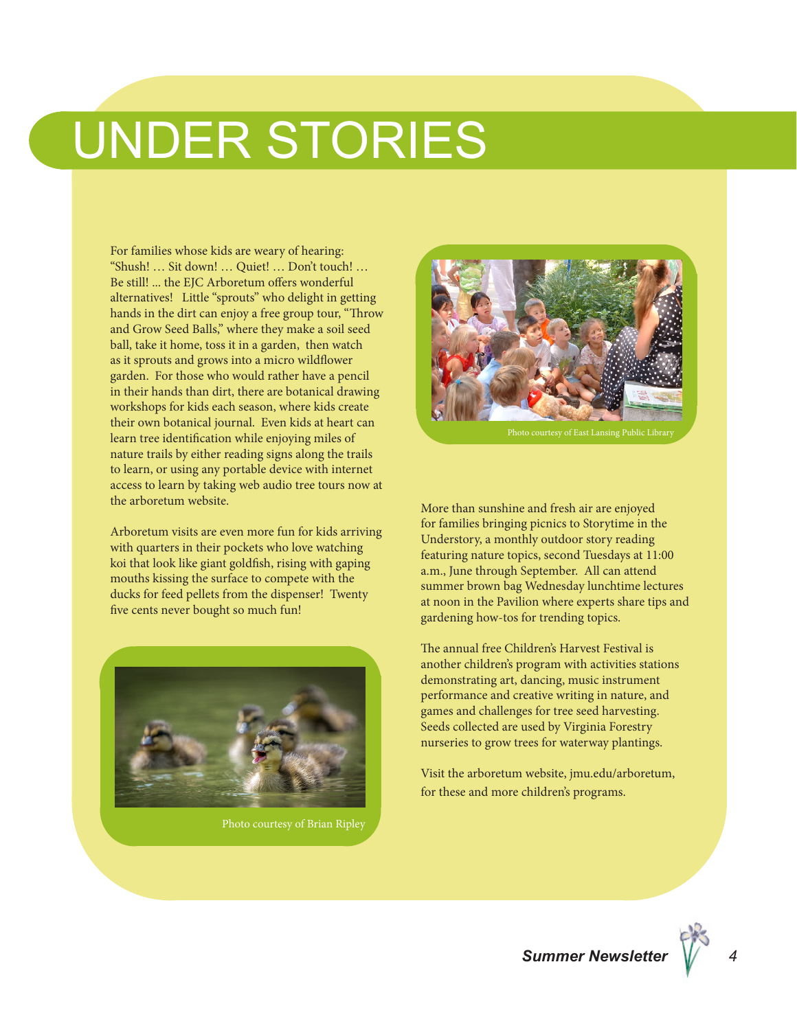### UNDER STORIES

For families whose kids are weary of hearing: "Shush! … Sit down! … Quiet! … Don't touch! … Be still! ... the EJC Arboretum offers wonderful alternatives! Little "sprouts" who delight in getting hands in the dirt can enjoy a free group tour, "Throw and Grow Seed Balls," where they make a soil seed ball, take it home, toss it in a garden, then watch as it sprouts and grows into a micro wildflower garden. For those who would rather have a pencil in their hands than dirt, there are botanical drawing workshops for kids each season, where kids create their own botanical journal. Even kids at heart can learn tree identification while enjoying miles of nature trails by either reading signs along the trails to learn, or using any portable device with internet access to learn by taking web audio tree tours now at the arboretum website.

Arboretum visits are even more fun for kids arriving with quarters in their pockets who love watching koi that look like giant goldfish, rising with gaping mouths kissing the surface to compete with the ducks for feed pellets from the dispenser! Twenty five cents never bought so much fun!



Photo courtesy of Brian Ripley



More than sunshine and fresh air are enjoyed for families bringing picnics to Storytime in the Understory, a monthly outdoor story reading featuring nature topics, second Tuesdays at 11:00 a.m., June through September. All can attend summer brown bag Wednesday lunchtime lectures at noon in the Pavilion where experts share tips and gardening how-tos for trending topics.

The annual free Children's Harvest Festival is another children's program with activities stations demonstrating art, dancing, music instrument performance and creative writing in nature, and games and challenges for tree seed harvesting. Seeds collected are used by Virginia Forestry nurseries to grow trees for waterway plantings.

Visit the arboretum website, jmu.edu/arboretum, for these and more children's programs.